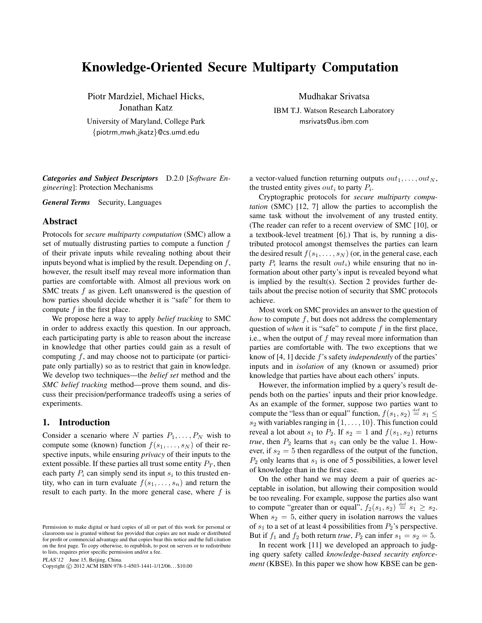# Knowledge-Oriented Secure Multiparty Computation

Piotr Mardziel, Michael Hicks, Jonathan Katz University of Maryland, College Park {piotrm,mwh,jkatz}@cs.umd.edu

Mudhakar Srivatsa

IBM T.J. Watson Research Laboratory msrivats@us.ibm.com

*Categories and Subject Descriptors* D.2.0 [*Software Engineering*]: Protection Mechanisms

*General Terms* Security, Languages

## Abstract

Protocols for *secure multiparty computation* (SMC) allow a set of mutually distrusting parties to compute a function  $f$ of their private inputs while revealing nothing about their inputs beyond what is implied by the result. Depending on  $f$ , however, the result itself may reveal more information than parties are comfortable with. Almost all previous work on SMC treats f as given. Left unanswered is the question of how parties should decide whether it is "safe" for them to compute  $f$  in the first place.

We propose here a way to apply *belief tracking* to SMC in order to address exactly this question. In our approach, each participating party is able to reason about the increase in knowledge that other parties could gain as a result of computing  $f$ , and may choose not to participate (or participate only partially) so as to restrict that gain in knowledge. We develop two techniques—the *belief set* method and the *SMC belief tracking* method—prove them sound, and discuss their precision/performance tradeoffs using a series of experiments.

# 1. Introduction

Consider a scenario where N parties  $P_1, \ldots, P_N$  wish to compute some (known) function  $f(s_1, \ldots, s_N)$  of their respective inputs, while ensuring *privacy* of their inputs to the extent possible. If these parties all trust some entity  $P_T$ , then each party  $P_i$  can simply send its input  $s_i$  to this trusted entity, who can in turn evaluate  $f(s_1, \ldots, s_n)$  and return the result to each party. In the more general case, where  $f$  is

PLAS'12 June 15, Beijing, China.

Copyright © 2012 ACM ISBN 978-1-4503-1441-1/12/06... \$10.00

a vector-valued function returning outputs  $out_1, \ldots, out_N$ , the trusted entity gives  $out_i$  to party  $P_i$ .

Cryptographic protocols for *secure multiparty computation* (SMC) [12, 7] allow the parties to accomplish the same task without the involvement of any trusted entity. (The reader can refer to a recent overview of SMC [10], or a textbook-level treatment [6].) That is, by running a distributed protocol amongst themselves the parties can learn the desired result  $f(s_1, \ldots, s_N)$  (or, in the general case, each party  $P_i$  learns the result  $out_i$ ) while ensuring that no information about other party's input is revealed beyond what is implied by the result(s). Section 2 provides further details about the precise notion of security that SMC protocols achieve.

Most work on SMC provides an answer to the question of *how* to compute  $f$ , but does not address the complementary question of *when* it is "safe" to compute  $f$  in the first place, i.e., when the output of  $f$  may reveal more information than parties are comfortable with. The two exceptions that we know of [4, 1] decide f's safety *independently* of the parties' inputs and in *isolation* of any (known or assumed) prior knowledge that parties have about each others' inputs.

However, the information implied by a query's result depends both on the parties' inputs and their prior knowledge. As an example of the former, suppose two parties want to compute the "less than or equal" function,  $f(s_1, s_2) \stackrel{\text{def}}{=} s_1 \leq$  $s_2$  with variables ranging in  $\{1, \ldots, 10\}$ . This function could reveal a lot about  $s_1$  to  $P_2$ . If  $s_2 = 1$  and  $f(s_1, s_2)$  returns *true*, then  $P_2$  learns that  $s_1$  can only be the value 1. However, if  $s_2 = 5$  then regardless of the output of the function,  $P_2$  only learns that  $s_1$  is one of 5 possibilities, a lower level of knowledge than in the first case.

On the other hand we may deem a pair of queries acceptable in isolation, but allowing their composition would be too revealing. For example, suppose the parties also want to compute "greater than or equal",  $f_2(s_1, s_2) \stackrel{\text{def}}{=} s_1 \geq s_2$ . When  $s_2 = 5$ , either query in isolation narrows the values of  $s_1$  to a set of at least 4 possibilities from  $P_2$ 's perspective. But if  $f_1$  and  $f_2$  both return *true*,  $P_2$  can infer  $s_1 = s_2 = 5$ .

In recent work [11] we developed an approach to judging query safety called *knowledge-based security enforcement* (KBSE). In this paper we show how KBSE can be gen-

Permission to make digital or hard copies of all or part of this work for personal or classroom use is granted without fee provided that copies are not made or distributed for profit or commercial advantage and that copies bear this notice and the full citation on the first page. To copy otherwise, to republish, to post on servers or to redistribute to lists, requires prior specific permission and/or a fee.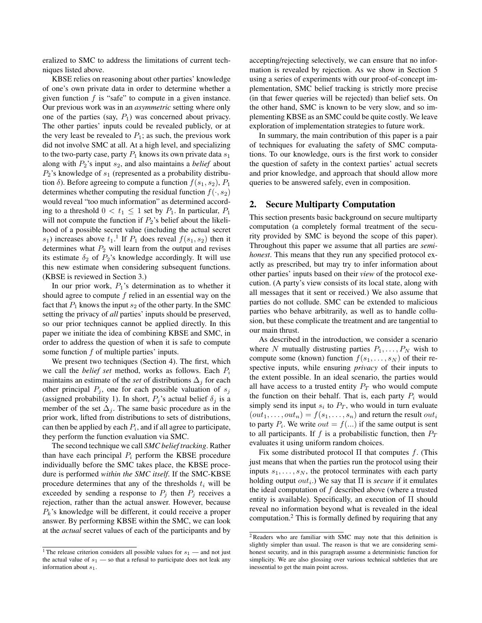eralized to SMC to address the limitations of current techniques listed above.

KBSE relies on reasoning about other parties' knowledge of one's own private data in order to determine whether a given function  $f$  is "safe" to compute in a given instance. Our previous work was in an *asymmetric* setting where only one of the parties (say,  $P_1$ ) was concerned about privacy. The other parties' inputs could be revealed publicly, or at the very least be revealed to  $P_1$ ; as such, the previous work did not involve SMC at all. At a high level, and specializing to the two-party case, party  $P_1$  knows its own private data  $s_1$ along with  $P_2$ 's input  $s_2$ , and also maintains a *belief* about  $P_2$ 's knowledge of  $s_1$  (represented as a probability distribution  $\delta$ ). Before agreeing to compute a function  $f(s_1, s_2)$ ,  $P_1$ determines whether computing the residual function  $f(\cdot, s_2)$ would reveal "too much information" as determined according to a threshold  $0 < t_1 \leq 1$  set by  $P_1$ . In particular,  $P_1$ will not compute the function if  $P_2$ 's belief about the likelihood of a possible secret value (including the actual secret  $s_1$ ) increases above  $t_1$ .<sup>1</sup> If  $P_1$  does reveal  $f(s_1, s_2)$  then it determines what  $P_2$  will learn from the output and revises its estimate  $\delta_2$  of  $P_2$ 's knowledge accordingly. It will use this new estimate when considering subsequent functions. (KBSE is reviewed in Section 3.)

In our prior work,  $P_1$ 's determination as to whether it should agree to compute  $f$  relied in an essential way on the fact that  $P_1$  knows the input  $s_2$  of the other party. In the SMC setting the privacy of *all* parties' inputs should be preserved, so our prior techniques cannot be applied directly. In this paper we initiate the idea of combining KBSE and SMC, in order to address the question of when it is safe to compute some function f of multiple parties' inputs.

We present two techniques (Section 4). The first, which we call the *belief set* method, works as follows. Each  $P_i$ maintains an estimate of the *set* of distributions  $\Delta_j$  for each other principal  $P_j$ , one for each possible valuation of  $s_j$ (assigned probability 1). In short,  $P_i$ 's actual belief  $\delta_i$  is a member of the set  $\Delta_i$ . The same basic procedure as in the prior work, lifted from distributions to sets of distributions, can then be applied by each  $P_i$ , and if all agree to participate, they perform the function evaluation via SMC.

The second technique we call *SMC belief tracking*. Rather than have each principal  $P_i$  perform the KBSE procedure individually before the SMC takes place, the KBSE procedure is performed *within the SMC itself*. If the SMC-KBSE procedure determines that any of the thresholds  $t_i$  will be exceeded by sending a response to  $P_j$  then  $P_j$  receives a rejection, rather than the actual answer. However, because  $P_k$ 's knowledge will be different, it could receive a proper answer. By performing KBSE within the SMC, we can look at the *actual* secret values of each of the participants and by

accepting/rejecting selectively, we can ensure that no information is revealed by rejection. As we show in Section 5 using a series of experiments with our proof-of-concept implementation, SMC belief tracking is strictly more precise (in that fewer queries will be rejected) than belief sets. On the other hand, SMC is known to be very slow, and so implementing KBSE as an SMC could be quite costly. We leave exploration of implementation strategies to future work.

In summary, the main contribution of this paper is a pair of techniques for evaluating the safety of SMC computations. To our knowledge, ours is the first work to consider the question of safety in the context parties' actual secrets and prior knowledge, and approach that should allow more queries to be answered safely, even in composition.

## 2. Secure Multiparty Computation

This section presents basic background on secure multiparty computation (a completely formal treatment of the security provided by SMC is beyond the scope of this paper). Throughout this paper we assume that all parties are *semihonest*. This means that they run any specified protocol exactly as prescribed, but may try to infer information about other parties' inputs based on their *view* of the protocol execution. (A party's view consists of its local state, along with all messages that it sent or received.) We also assume that parties do not collude. SMC can be extended to malicious parties who behave arbitrarily, as well as to handle collusion, but these complicate the treatment and are tangential to our main thrust.

As described in the introduction, we consider a scenario where N mutually distrusting parties  $P_1, \ldots, P_N$  wish to compute some (known) function  $f(s_1, \ldots, s_N)$  of their respective inputs, while ensuring *privacy* of their inputs to the extent possible. In an ideal scenario, the parties would all have access to a trusted entity  $P_T$  who would compute the function on their behalf. That is, each party  $P_i$  would simply send its input  $s_i$  to  $P_T$ , who would in turn evaluate  $(out_1, \ldots, out_n) = f(s_1, \ldots, s_n)$  and return the result  $out_i$ to party  $P_i$ . We write  $out = f(...)$  if the same output is sent to all participants. If f is a probabilistic function, then  $P_T$ evaluates it using uniform random choices.

Fix some distributed protocol  $\Pi$  that computes f. (This just means that when the parties run the protocol using their inputs  $s_1, \ldots, s_N$ , the protocol terminates with each party holding output  $out_i$ .) We say that  $\Pi$  is *secure* if it emulates the ideal computation of  $f$  described above (where a trusted entity is available). Specifically, an execution of Π should reveal no information beyond what is revealed in the ideal computation.<sup>2</sup> This is formally defined by requiring that any

<sup>&</sup>lt;sup>1</sup> The release criterion considers all possible values for  $s_1$  — and not just the actual value of  $s_1$  — so that a refusal to participate does not leak any information about  $s_1$ .

 $2$ Readers who are familiar with SMC may note that this definition is slightly simpler than usual. The reason is that we are considering semihonest security, and in this paragraph assume a deterministic function for simplicity. We are also glossing over various technical subtleties that are inessential to get the main point across.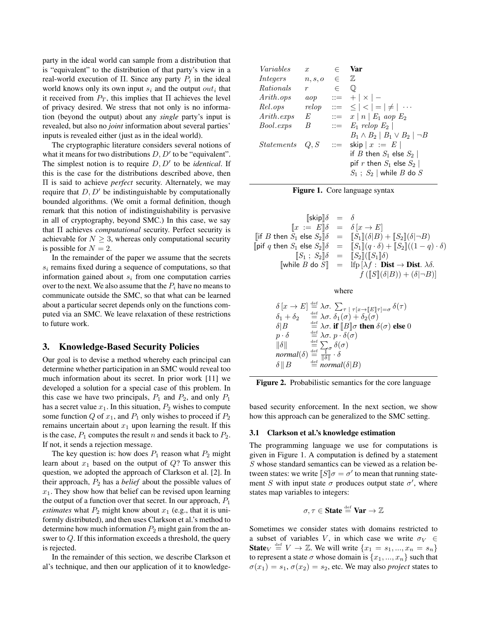party in the ideal world can sample from a distribution that is "equivalent" to the distribution of that party's view in a real-world execution of  $\Pi$ . Since any party  $P_i$  in the ideal world knows only its own input  $s_i$  and the output  $out_i$  that it received from  $P_T$ , this implies that  $\Pi$  achieves the level of privacy desired. We stress that not only is no information (beyond the output) about any *single* party's input is revealed, but also no *joint* information about several parties' inputs is revealed either (just as in the ideal world).

The cryptographic literature considers several notions of what it means for two distributions  $D, D'$  to be "equivalent". The simplest notion is to require  $D, D'$  to be *identical*. If this is the case for the distributions described above, then Π is said to achieve *perfect* security. Alternately, we may require that  $D, D'$  be indistinguishable by computationally bounded algorithms. (We omit a formal definition, though remark that this notion of indistinguishability is pervasive in all of cryptography, beyond SMC.) In this case, we say that Π achieves *computational* security. Perfect security is achievable for  $N > 3$ , whereas only computational security is possible for  $N = 2$ .

In the remainder of the paper we assume that the secrets  $s_i$  remains fixed during a sequence of computations, so that information gained about  $s_i$  from one computation carries over to the next. We also assume that the  $P_i$  have no means to communicate outside the SMC, so that what can be learned about a particular secret depends only on the functions computed via an SMC. We leave relaxation of these restrictions to future work.

# 3. Knowledge-Based Security Policies

Our goal is to devise a method whereby each principal can determine whether participation in an SMC would reveal too much information about its secret. In prior work [11] we developed a solution for a special case of this problem. In this case we have two principals,  $P_1$  and  $P_2$ , and only  $P_1$ has a secret value  $x_1$ . In this situation,  $P_2$  wishes to compute some function  $Q$  of  $x_1$ , and  $P_1$  only wishes to proceed if  $P_2$ remains uncertain about  $x_1$  upon learning the result. If this is the case,  $P_1$  computes the result n and sends it back to  $P_2$ . If not, it sends a rejection message.

The key question is: how does  $P_1$  reason what  $P_2$  might learn about  $x_1$  based on the output of  $Q$ ? To answer this question, we adopted the approach of Clarkson et al. [2]. In their approach, P<sup>2</sup> has a *belief* about the possible values of  $x_1$ . They show how that belief can be revised upon learning the output of a function over that secret. In our approach,  $P_1$ *estimates* what  $P_2$  might know about  $x_1$  (e.g., that it is uniformly distributed), and then uses Clarkson et al.'s method to determine how much information  $P_2$  might gain from the answer to Q. If this information exceeds a threshold, the query is rejected.

In the remainder of this section, we describe Clarkson et al's technique, and then our application of it to knowledge-

| Variables             | $\boldsymbol{x}$ | $\in$      | Var                                                |
|-----------------------|------------------|------------|----------------------------------------------------|
| Integers              | n, s, o          | $\epsilon$ | $\mathbb{Z}$                                       |
| <i>Rationals</i>      | $\boldsymbol{r}$ | $\in$      | $\mathbb O$                                        |
| Arith.ops             | aop              |            | $ ::= +   \times   -$                              |
| Rel.ops               | relop            |            | $\  \cdot \  = \ \leq \  < \  = \  \neq \  \cdots$ |
| Arith. exps           | E                |            | $\therefore$ $x   n   E_1$ aop $E_2$               |
| <i>Bool.exps</i>      | B                |            | $\therefore$ $E_1$ relop $E_2$                     |
|                       |                  |            | $B_1 \wedge B_2 \mid B_1 \vee B_2 \mid \neg B$     |
| $\mathit{Statements}$ | Q, S             |            | $ ::=$ skip $x := E$                               |
|                       |                  |            | if B then $S_1$ else $S_2$                         |
|                       |                  |            | pif r then $S_1$ else $S_2$                        |
|                       |                  |            | $S_1$ ; $S_2$   while $B$ do $S$                   |



$$
\begin{array}{rcll} [\![\mathrm{skip}]\!] \delta & = & \delta \\ \qquad & [\![x := E]\!] \delta & = & \delta \left[ x \rightarrow E\right] \\ \qquad \qquad [\![\mathrm{if}\; B \;\mathrm{then}\; S_1 \;\mathrm{else}\; S_2]\!] \delta & = & [\![S_1]\!] (\delta|B) + [\![S_2]\!] (\delta| \neg B) \\ \qquad \qquad [\![\mathrm{p}\mathrm{if}\; q \;\mathrm{then}\; S_1 \;\mathrm{else}\; S_2]\!] \delta & = & [\![S_1]\!] (q\cdot \delta) + [\![S_2]\!] ((1-q)\cdot \delta) \\ \qquad \qquad [\![S_1\; ;\; S_2]\!] \delta & = & [\![S_2]\!] (\! [\![S_1]\!] \delta) \\ \qquad \qquad [\![\mathrm{while}\; B \;\mathrm{do}\; S]\!] & = & \!\! \mathrm{Ifp}\left[ \lambda f : \mathbf{Dist} \rightarrow \mathbf{Dist}.\; \lambda \delta. \\qquad \qquad f\left( [\![S]\!] (\delta|B)\right) + (\delta| \neg B)] \end{array}
$$

where

$$
\begin{array}{ll}\n\delta \left[ x \rightarrow E \right] \stackrel{\text{def}}{=} \lambda \sigma. \sum_{\tau \upharpoonright \tau} \tau_{\left[ x \rightarrow \llbracket E \rrbracket \tau \right] = \sigma} \delta(\tau) \\
\delta_1 + \delta_2 & \stackrel{\text{def}}{=} \lambda \sigma. \delta_1(\sigma) + \delta_2(\sigma) \\
\delta \left| B \right| & \stackrel{\text{def}}{=} \lambda \sigma. \text{ if } \llbracket B \rrbracket \sigma \text{ then } \delta(\sigma) \text{ else } 0 \\
p \cdot \delta & \stackrel{\text{def}}{=} \lambda \sigma. \ p \cdot \delta(\sigma) \\
\|\delta\| & \stackrel{\text{def}}{=} \sum_{\substack{\tau \upharpoonright \sigma}} \delta(\sigma) \\
\text{normal}(\delta) & \stackrel{\text{def}}{=} \frac{1}{\|\delta\|} \cdot \delta \\
\delta \left\| B \right\| & \stackrel{\text{def}}{=} \text{normal}(\delta | B)\n\end{array}
$$



based security enforcement. In the next section, we show how this approach can be generalized to the SMC setting.

#### 3.1 Clarkson et al.'s knowledge estimation

The programming language we use for computations is given in Figure 1. A computation is defined by a statement S whose standard semantics can be viewed as a relation between states: we write  $\llbracket S \rrbracket \sigma = \sigma'$  to mean that running statement S with input state  $\sigma$  produces output state  $\sigma'$ , where states map variables to integers:

$$
\sigma,\tau\in\mathbf{State}\stackrel{\text{\tiny def}}{=}\mathbf{Var}\to\mathbb{Z}
$$

Sometimes we consider states with domains restricted to a subset of variables V, in which case we write  $\sigma_V \in$ **State**<sub>V</sub>  $\stackrel{\text{def}}{=} V \to \mathbb{Z}$ . We will write  $\{x_1 = s_1, ..., x_n = s_n\}$ to represent a state  $\sigma$  whose domain is  $\{x_1, ..., x_n\}$  such that  $\sigma(x_1) = s_1, \sigma(x_2) = s_2$ , etc. We may also *project* states to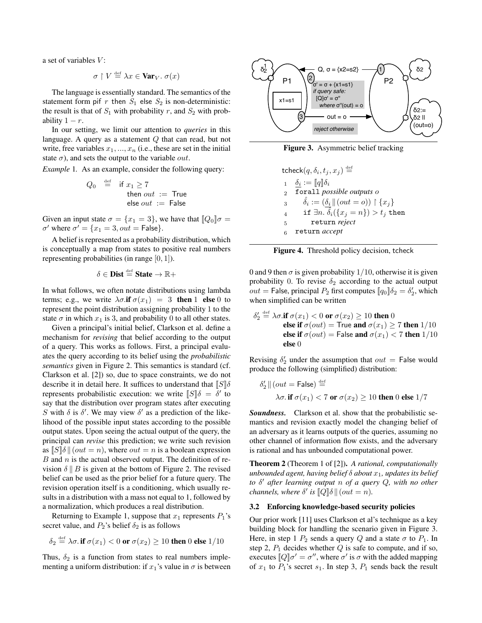a set of variables  $V$ :

$$
\sigma \restriction V \stackrel{\text{\tiny def}}{=} \lambda x \in \text{Var}_V. \ \sigma(x)
$$

The language is essentially standard. The semantics of the statement form pif  $r$  then  $S_1$  else  $S_2$  is non-deterministic: the result is that of  $S_1$  with probability r, and  $S_2$  with probability  $1 - r$ .

In our setting, we limit our attention to *queries* in this language. A query as a statement Q that can read, but not write, free variables  $x_1, ..., x_n$  (i.e., these are set in the initial state  $\sigma$ ), and sets the output to the variable *out*.

*Example* 1. As an example, consider the following query:

$$
Q_0 \stackrel{\text{def}}{=} \text{if } x_1 \ge 7
$$
  
then out := True  
else out := False

Given an input state  $\sigma = \{x_1 = 3\}$ , we have that  $[Q_0]\sigma =$  $\sigma'$  where  $\sigma' = \{x_1 = 3, out = \mathsf{False}\}.$ 

A belief is represented as a probability distribution, which is conceptually a map from states to positive real numbers representing probabilities (in range [0, 1]).

$$
\delta \in \text{Dist} \stackrel{\text{\tiny def}}{=} \text{State} \rightarrow \mathbb{R}+
$$

In what follows, we often notate distributions using lambda terms; e.g., we write  $\lambda \sigma$ .if  $\sigma(x_1) = 3$  then 1 else 0 to represent the point distribution assigning probability 1 to the state  $\sigma$  in which  $x_1$  is 3, and probability 0 to all other states.

Given a principal's initial belief, Clarkson et al. define a mechanism for *revising* that belief according to the output of a query. This works as follows. First, a principal evaluates the query according to its belief using the *probabilistic semantics* given in Figure 2. This semantics is standard (cf. Clarkson et al. [2]) so, due to space constraints, we do not describe it in detail here. It suffices to understand that  $\llbracket S \rrbracket \delta$ represents probabilistic execution: we write  $\llbracket S \rrbracket \delta = \delta'$  to say that the distribution over program states after executing S with  $\delta$  is  $\delta'$ . We may view  $\delta'$  as a prediction of the likelihood of the possible input states according to the possible output states. Upon seeing the actual output of the query, the principal can *revise* this prediction; we write such revision as  $\llbracket S \rrbracket \delta \parallel (out = n)$ , where  $out = n$  is a boolean expression  $B$  and  $n$  is the actual observed output. The definition of revision  $\delta \parallel B$  is given at the bottom of Figure 2. The revised belief can be used as the prior belief for a future query. The revision operation itself is a conditioning, which usually results in a distribution with a mass not equal to 1, followed by a normalization, which produces a real distribution.

Returning to Example 1, suppose that  $x_1$  represents  $P_1$ 's secret value, and  $P_2$ 's belief  $\delta_2$  is as follows

$$
\delta_2 \stackrel{\text{\tiny def}}{=} \lambda \sigma. \text{ if } \sigma(x_1) < 0 \text{ or } \sigma(x_2) \geq 10 \text{ then } 0 \text{ else } 1/10
$$

Thus,  $\delta_2$  is a function from states to real numbers implementing a uniform distribution: if  $x_1$ 's value in  $\sigma$  is between



Figure 3. Asymmetric belief tracking

$$
\begin{array}{ll}\n\text{tcheck}(q,\delta_i,t_j,x_j) \stackrel{\text{def}}{=} \\
1 & \underbrace{\delta_i} := [q]\delta_i \\
2 & \text{for all possible outputs } o \\
3 & \hat{\delta_i} := (\underbrace{\delta_i \,||\, (out=o)) \upharpoonright \{x_j\}}_{4} \\
4 & \text{if } \exists n. \, \hat{\delta_i}(\{x_j = n\}) > t_j \text{ then} \\
5 & \text{return } reject \\
6 & \text{return } accept\n\end{array}
$$

Figure 4. Threshold policy decision, tcheck

0 and 9 then  $\sigma$  is given probability 1/10, otherwise it is given probability 0. To revise  $\delta_2$  according to the actual output  $out =$  False, principal  $P_2$  first computes  $[q_0]\delta_2 = \delta'_2$ , which when simplified can be written

$$
\delta'_2 \stackrel{\text{def}}{=} \lambda \sigma.\text{if } \sigma(x_1) < 0 \text{ or } \sigma(x_2) \ge 10 \text{ then } 0
$$
\nelse if  $\sigma(out) = \text{True}$  and  $\sigma(x_1) \ge 7$  then  $1/10$ \nelse if  $\sigma(out) = \text{False}$  and  $\sigma(x_1) < 7$  then  $1/10$ \nelse 0

Revising  $\delta_2'$  under the assumption that  $out =$  False would produce the following (simplified) distribution:

$$
\delta_2' \parallel (out = \text{False}) \stackrel{\text{def}}{=} \\
\lambda \sigma. \text{ if } \sigma(x_1) < 7 \text{ or } \sigma(x_2) \ge 10 \text{ then } 0 \text{ else } 1/7
$$

*Soundness.* Clarkson et al. show that the probabilistic semantics and revision exactly model the changing belief of an adversary as it learns outputs of the queries, assuming no other channel of information flow exists, and the adversary is rational and has unbounded computational power.

Theorem 2 (Theorem 1 of [2]). *A rational, computationally unbounded agent, having belief*  $\delta$  *about*  $x_1$ *, updates its belief to* δ <sup>0</sup> *after learning output* n *of a query* Q*, with no other channels, where*  $\delta'$  *is*  $\llbracket Q \rrbracket \delta \parallel (out = n)$ *.* 

#### 3.2 Enforcing knowledge-based security policies

Our prior work [11] uses Clarkson et al's technique as a key building block for handling the scenario given in Figure 3. Here, in step 1  $P_2$  sends a query Q and a state  $\sigma$  to  $P_1$ . In step 2,  $P_1$  decides whether  $Q$  is safe to compute, and if so, executes  $[Q] \sigma' = \sigma''$ , where  $\sigma'$  is  $\sigma$  with the added mapping of  $x_1$  to  $P_1$ 's secret  $s_1$ . In step 3,  $P_1$  sends back the result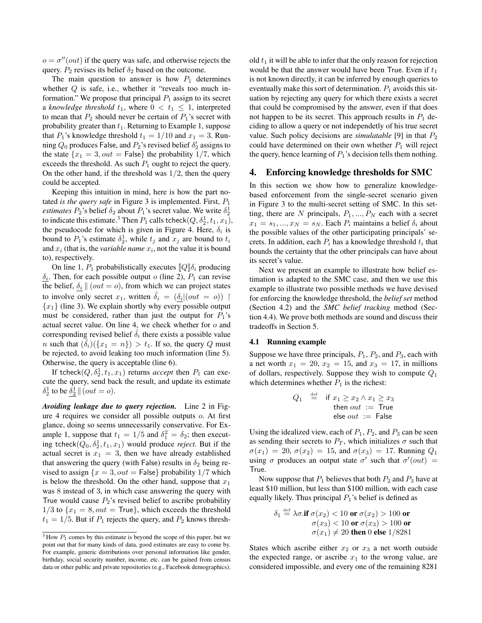$o = \sigma''(out)$  if the query was safe, and otherwise rejects the query.  $P_2$  revises its belief  $\delta_2$  based on the outcome.

The main question to answer is how  $P_1$  determines whether  $Q$  is safe, i.e., whether it "reveals too much information." We propose that principal  $P_1$  assign to its secret a *knowledge threshold*  $t_1$ , where  $0 < t_1 \leq 1$ , interpreted to mean that  $P_2$  should never be certain of  $P_1$ 's secret with probability greater than  $t_1$ . Returning to Example 1, suppose that  $P_1$ 's knowledge threshold  $t_1 = 1/10$  and  $x_1 = 3$ . Running  $Q_0$  produces False, and  $P_2$ 's revised belief  $\delta'_2$  assigns to the state  ${x_1 = 3, out = False}$  the probability 1/7, which exceeds the threshold. As such  $P_1$  ought to reject the query. On the other hand, if the threshold was  $1/2$ , then the query could be accepted.

Keeping this intuition in mind, here is how the part notated *is the query safe* in Figure 3 is implemented. First, P<sup>1</sup> *estimates*  $P_2$ 's belief  $\delta_2$  about  $P_1$ 's secret value. We write  $\delta_2^1$ to indicate this estimate.<sup>3</sup> Then  $P_1$  calls tcheck $(Q, \delta_2^1, t_1, x_1)$ , the pseudocode for which is given in Figure 4. Here,  $\delta_i$  is bound to  $P_1$ 's estimate  $\delta_2^1$ , while  $t_j$  and  $x_j$  are bound to  $t_i$ and  $x_i$  (that is, the *variable name*  $x_i$ , not the value it is bound to), respectively.

On line 1,  $P_1$  probabilistically executes  $[Q]\delta_i$  producing  $\delta_i$ . Then, for each possible output o (line 2),  $P_1$  can revise the belief,  $\delta_i || (out = o)$ , from which we can project states to involve only secret  $x_1$ , written  $\hat{\delta}_i = (\delta_i | (out = o))$  ${x_1}$  (line 3). We explain shortly why every possible output must be considered, rather than just the output for  $P_1$ 's actual secret value. On line 4, we check whether for o and corresponding revised belief  $\hat{\delta_i}$  there exists a possible value *n* such that  $(\hat{\delta}_i)(\{x_1 = n\}) > t_1$ . If so, the query Q must be rejected, to avoid leaking too much information (line 5). Otherwise, the query is acceptable (line 6).

If tcheck $(Q, \delta_2^1, t_1, x_1)$  returns *accept* then  $P_1$  can execute the query, send back the result, and update its estimate  $\delta_2^1$  to be  $\underline{\delta_2^1}$   $| (out = o)$ .

*Avoiding leakage due to query rejection.* Line 2 in Figure 4 requires we consider all possible outputs o. At first glance, doing so seems unnecessarily conservative. For Example 1, suppose that  $t_1 = 1/5$  and  $\delta_1^2 = \delta_2$ ; then executing tcheck $(Q_0, \delta_2^1, t_1, x_1)$  would produce *reject*. But if the actual secret is  $x_1 = 3$ , then we have already established that answering the query (with False) results in  $\delta_2$  being revised to assign  $\{x = 3, out = \text{False}\}\$  probability  $1/7$  which is below the threshold. On the other hand, suppose that  $x_1$ was 8 instead of 3, in which case answering the query with True would cause  $P_2$ 's revised belief to ascribe probability  $1/3$  to  $\{x_1 = 8, out = True\}$ , which exceeds the threshold  $t_1 = 1/5$ . But if  $P_1$  rejects the query, and  $P_2$  knows threshold  $t_1$  it will be able to infer that the only reason for rejection would be that the answer would have been True. Even if  $t_1$ is not known directly, it can be inferred by enough queries to eventually make this sort of determination.  $P_1$  avoids this situation by rejecting any query for which there exists a secret that could be compromised by the answer, even if that does not happen to be its secret. This approach results in  $P_1$  deciding to allow a query or not independetly of his true secret value. Such policy decisions are *simulatable* [9] in that  $P_2$ could have determined on their own whether  $P_1$  will reject the query, hence learning of  $P_1$ 's decision tells them nothing.

## 4. Enforcing knowledge thresholds for SMC

In this section we show how to generalize knowledgebased enforcement from the single-secret scenario given in Figure 3 to the multi-secret setting of SMC. In this setting, there are N principals,  $P_1, ..., P_N$  each with a secret  $x_1 = s_1, ..., x_N = s_N$ . Each  $P_i$  maintains a belief  $\delta_i$  about the possible values of the other participating principals' secrets. In addition, each  $P_i$  has a knowledge threshold  $t_i$  that bounds the certainty that the other principals can have about its secret's value.

Next we present an example to illustrate how belief estimation is adapted to the SMC case, and then we use this example to illustrate two possible methods we have devised for enforcing the knowledge threshold, the *belief set* method (Section 4.2) and the *SMC belief tracking* method (Section 4.4). We prove both methods are sound and discuss their tradeoffs in Section 5.

## 4.1 Running example

Suppose we have three principals,  $P_1$ ,  $P_2$ , and  $P_3$ , each with a net worth  $x_1 = 20, x_2 = 15$ , and  $x_3 = 17$ , in millions of dollars, respectively. Suppose they wish to compute  $Q_1$ which determines whether  $P_1$  is the richest:

$$
Q_1 \stackrel{\text{def}}{=} \text{if } x_1 \ge x_2 \land x_1 \ge x_3
$$
  
then *out* := True  
else *out* := False

Using the idealized view, each of  $P_1$ ,  $P_2$ , and  $P_3$  can be seen as sending their secrets to  $P_T$ , which initializes  $\sigma$  such that  $\sigma(x_1) = 20, \, \sigma(x_2) = 15$ , and  $\sigma(x_3) = 17$ . Running  $Q_1$ using  $\sigma$  produces an output state  $\sigma'$  such that  $\sigma' (out)$  = True.

Now suppose that  $P_1$  believes that both  $P_2$  and  $P_3$  have at least \$10 million, but less than \$100 million, with each case equally likely. Thus principal  $P_1$ 's belief is defined as

$$
\delta_1 \stackrel{\text{def}}{=} \lambda \sigma.\text{if } \sigma(x_2) < 10 \text{ or } \sigma(x_2) > 100 \text{ or } \sigma(x_3) < 100 \text{ or } \sigma(x_3) > 100 \text{ or } \sigma(x_1) \neq 20 \text{ then } 0 \text{ else } 1/8281
$$

States which ascribe either  $x_2$  or  $x_3$  a net worth outside the expected range, or ascribe  $x_1$  to the wrong value, are considered impossible, and every one of the remaining 8281

 $3$  How  $P_1$  comes by this estimate is beyond the scope of this paper, but we point out that for many kinds of data, good estimates are easy to come by. For example, generic distributions over personal information like gender, birthday, social security number, income, etc. can be gained from census data or other public and private repositories (e.g., Facebook demographics).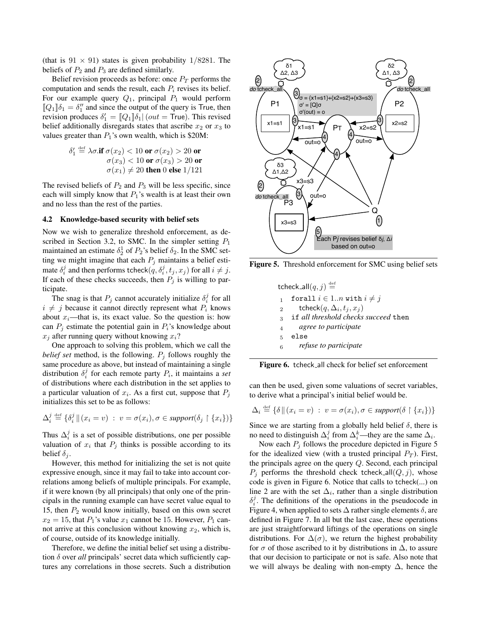(that is  $91 \times 91$ ) states is given probability  $1/8281$ . The beliefs of  $P_2$  and  $P_3$  are defined similarly.

Belief revision proceeds as before: once  $P_T$  performs the computation and sends the result, each  $P_i$  revises its belief. For our example query  $Q_1$ , principal  $P_1$  would perform  $[Q_1]\delta_1 = \delta_1''$  and since the output of the query is True, then revision produces  $\delta_1' = [Q_1]\delta_1 | (out = True)$ . This revised belief additionally disregards states that ascribe  $x_2$  or  $x_3$  to values greater than  $P_1$ 's own wealth, which is \$20M:

$$
\delta_1' \stackrel{\text{def}}{=} \lambda \sigma.\mathbf{if} \ \sigma(x_2) < 10 \text{ or } \sigma(x_2) > 20 \text{ or} \\
\sigma(x_3) < 10 \text{ or } \sigma(x_3) > 20 \text{ or} \\
\sigma(x_1) \neq 20 \text{ then } 0 \text{ else } 1/121
$$

The revised beliefs of  $P_2$  and  $P_3$  will be less specific, since each will simply know that  $P_1$ 's wealth is at least their own and no less than the rest of the parties.

## 4.2 Knowledge-based security with belief sets

Now we wish to generalize threshold enforcement, as described in Section 3.2, to SMC. In the simpler setting  $P_1$ maintained an estimate  $\delta_2^1$  of  $P_2$ 's belief  $\delta_2$ . In the SMC setting we might imagine that each  $P_j$  maintains a belief estimate  $\delta_i^j$  and then performs tcheck $(q, \delta_i^j, t_j, x_j)$  for all  $i \neq j$ . If each of these checks succeeds, then  $P_j$  is willing to participate.

The snag is that  $P_j$  cannot accurately initialize  $\delta_i^j$  for all  $i \neq j$  because it cannot directly represent what  $P_i$  knows about  $x_i$ —that is, its exact value. So the question is: how can  $P_i$  estimate the potential gain in  $P_i$ 's knowledge about  $x_j$  after running query without knowing  $x_i$ ?

One approach to solving this problem, which we call the *belief set* method, is the following.  $P_i$  follows roughly the same procedure as above, but instead of maintaining a single distribution  $\delta_i^j$  for each remote party  $P_i$ , it maintains a *set* of distributions where each distribution in the set applies to a particular valuation of  $x_i$ . As a first cut, suppose that  $P_j$ initializes this set to be as follows:

$$
\Delta_i^j \stackrel{\text{def}}{=} \{ \delta_i^j \, \Vert \, (x_i = v) \; : \; v = \sigma(x_i), \sigma \in support(\delta_j \upharpoonright \{x_i\}) \}
$$

Thus  $\Delta_i^j$  is a set of possible distributions, one per possible valuation of  $x_i$  that  $P_j$  thinks is possible according to its belief  $\delta_i$ .

However, this method for initializing the set is not quite expressive enough, since it may fail to take into account correlations among beliefs of multiple principals. For example, if it were known (by all principals) that only one of the principals in the running example can have secret value equal to 15, then  $P_2$  would know initially, based on this own secret  $x_2 = 15$ , that  $P_1$ 's value  $x_1$  cannot be 15. However,  $P_1$  cannot arrive at this conclusion without knowing  $x_2$ , which is, of course, outside of its knowledge initially.

Therefore, we define the initial belief set using a distribution δ over *all* principals' secret data which sufficiently captures any correlations in those secrets. Such a distribution



Figure 5. Threshold enforcement for SMC using belief sets

tcheck\_all $(q, j) \stackrel{\text{def}}{=}$ 1 forall  $i \in 1..n$  with  $i \neq j$ 2 tcheck $(q, \Delta_i, t_j, x_j)$ <sup>3</sup> if *all threshold checks succeed* then <sup>4</sup> *agree to participate* <sup>5</sup> else <sup>6</sup> *refuse to participate*



can then be used, given some valuations of secret variables, to derive what a principal's initial belief would be.

$$
\Delta_i \stackrel{\text{def}}{=} \{ \delta \mid (x_i = v) : v = \sigma(x_i), \sigma \in support(\delta \restriction \{x_i\}) \}
$$

Since we are starting from a globally held belief  $\delta$ , there is no need to distinguish  $\Delta_i^j$  from  $\Delta_i^k$ —they are the same  $\Delta_i$ .

Now each  $P_i$  follows the procedure depicted in Figure 5 for the idealized view (with a trusted principal  $P_T$ ). First, the principals agree on the query Q. Second, each principal  $P_i$  performs the threshold check tcheck all  $(Q, j)$ , whose code is given in Figure 6. Notice that calls to tcheck(...) on line 2 are with the set  $\Delta_i$ , rather than a single distribution  $\delta_i^j$ . The definitions of the operations in the pseudocode in Figure 4, when applied to sets  $\Delta$  rather single elements  $\delta$ , are defined in Figure 7. In all but the last case, these operations are just straightforward liftings of the operations on single distributions. For  $\Delta(\sigma)$ , we return the highest probability for  $\sigma$  of those ascribed to it by distributions in  $\Delta$ , to assure that our decision to participate or not is safe. Also note that we will always be dealing with non-empty ∆, hence the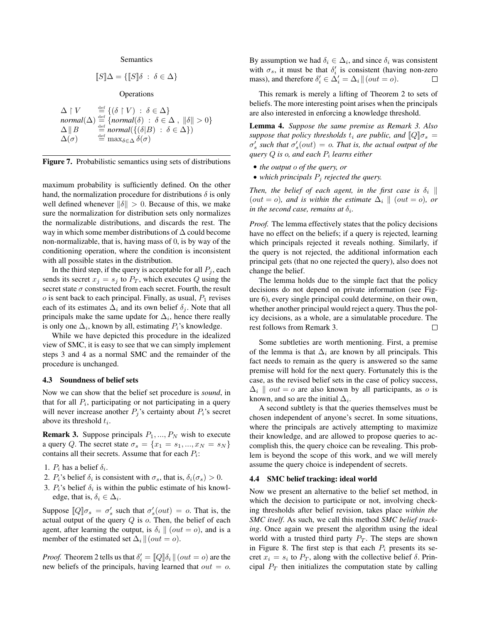#### Semantics

$$
[\![S]\!] \Delta = \{ [\![S]\!] \delta \; : \; \delta \in \Delta \}
$$

**Operations** 

$$
\begin{array}{ll}\n\Delta \upharpoonright V & \stackrel{\text{def}}{=} \{ (\delta \upharpoonright V) \; : \; \delta \in \Delta \} \\
\text{normal}(\Delta) & \stackrel{\text{def}}{=} \{ \text{normal}(\delta) \; : \; \delta \in \Delta \, , \; ||\delta|| > 0 \} \\
\Delta \parallel B & \stackrel{\text{def}}{=} \text{normal}(\{ (\delta|B) \; : \; \delta \in \Delta \} ) \\
\Delta(\sigma) & \stackrel{\text{def}}{=} \max_{\delta \in \Delta} \delta(\sigma)\n\end{array}
$$



maximum probability is sufficiently defined. On the other hand, the normalization procedure for distributions  $\delta$  is only well defined whenever  $\|\delta\| > 0$ . Because of this, we make sure the normalization for distribution sets only normalizes the normalizable distributions, and discards the rest. The way in which some member distributions of ∆ could become non-normalizable, that is, having mass of 0, is by way of the conditioning operation, where the condition is inconsistent with all possible states in the distribution.

In the third step, if the query is acceptable for all  $P_j$ , each sends its secret  $x_j = s_j$  to  $P_T$ , which executes Q using the secret state  $\sigma$  constructed from each secret. Fourth, the result  $o$  is sent back to each principal. Finally, as usual,  $P_1$  revises each of its estimates  $\Delta_i$  and its own belief  $\delta_i$ . Note that all principals make the same update for  $\Delta_i$ , hence there really is only one  $\Delta_i$ , known by all, estimating  $P_i$ 's knowledge.

While we have depicted this procedure in the idealized view of SMC, it is easy to see that we can simply implement steps 3 and 4 as a normal SMC and the remainder of the procedure is unchanged.

## 4.3 Soundness of belief sets

Now we can show that the belief set procedure is *sound*, in that for all  $P_i$ , participating or not participating in a query will never increase another  $P_i$ 's certainty about  $P_i$ 's secret above its threshold  $t_i$ .

**Remark 3.** Suppose principals  $P_1, ..., P_N$  wish to execute a query Q. The secret state  $\sigma_s = \{x_1 = s_1, ..., x_N = s_N\}$ contains all their secrets. Assume that for each  $P_i$ :

- 1.  $P_i$  has a belief  $\delta_i$ .
- 2.  $P_i$ 's belief  $\delta_i$  is consistent with  $\sigma_s$ , that is,  $\delta_i(\sigma_s) > 0$ .
- 3.  $P_i$ 's belief  $\delta_i$  is within the public estimate of his knowledge, that is,  $\delta_i \in \Delta_i$ .

Suppose  $\llbracket Q \rrbracket \sigma_s = \sigma'_s$  such that  $\sigma'_s(out) = o$ . That is, the actual output of the query  $Q$  is  $o$ . Then, the belief of each agent, after learning the output, is  $\delta_i$  || (*out = 0*), and is a member of the estimated set  $\Delta_i || (out = o)$ .

*Proof.* Theorem 2 tells us that  $\delta_i' = [Q]\delta_i || (out = o)$  are the new beliefs of the principals, having learned that  $out = 0$ . By assumption we had  $\delta_i \in \Delta_i$ , and since  $\delta_i$  was consistent with  $\sigma_s$ , it must be that  $\delta_i'$  is consistent (having non-zero mass), and therefore  $\delta_i' \in \Delta_i' = \Delta_i || (out = o)$ .  $\Box$ 

This remark is merely a lifting of Theorem 2 to sets of beliefs. The more interesting point arises when the principals are also interested in enforcing a knowledge threshold.

Lemma 4. *Suppose the same premise as Remark 3. Also suppose that policy thresholds*  $t_i$  *are public, and*  $[Q]\sigma_s =$  $\sigma'_{s}$  such that  $\sigma'_{s}(out) = o$ . That is, the actual output of the *query* Q *is* o*, and each* P<sup>i</sup> *learns either*

- *the output* o *of the query, or*
- *which principals* P<sup>j</sup> *rejected the query.*

*Then, the belief of each agent, in the first case is*  $\delta_i$  || (*out* = *o*)*,* and is within the estimate  $\Delta_i \parallel (out = o)$ *, or in the second case, remains at*  $\delta_i$ *.* 

*Proof.* The lemma effectively states that the policy decisions have no effect on the beliefs; if a query is rejected, learning which principals rejected it reveals nothing. Similarly, if the query is not rejected, the additional information each principal gets (that no one rejected the query), also does not change the belief.

The lemma holds due to the simple fact that the policy decisions do not depend on private information (see Figure 6), every single principal could determine, on their own, whether another principal would reject a query. Thus the policy decisions, as a whole, are a simulatable procedure. The rest follows from Remark 3.  $\Box$ 

Some subtleties are worth mentioning. First, a premise of the lemma is that  $\Delta_i$  are known by all principals. This fact needs to remain as the query is answered so the same premise will hold for the next query. Fortunately this is the case, as the revised belief sets in the case of policy success,  $\Delta_i$  || *out* = *o* are also known by all participants, as *o* is known, and so are the initial  $\Delta_i$ .

A second subtlety is that the queries themselves must be chosen independent of anyone's secret. In some situations, where the principals are actively attempting to maximize their knowledge, and are allowed to propose queries to accomplish this, the query choice can be revealing. This problem is beyond the scope of this work, and we will merely assume the query choice is independent of secrets.

## 4.4 SMC belief tracking: ideal world

Now we present an alternative to the belief set method, in which the decision to participate or not, involving checking thresholds after belief revision, takes place *within the SMC itself*. As such, we call this method *SMC belief tracking*. Once again we present the algorithm using the ideal world with a trusted third party  $P_T$ . The steps are shown in Figure 8. The first step is that each  $P_i$  presents its secret  $x_i = s_i$  to  $P_T$ , along with the collective belief  $\delta$ . Principal  $P_T$  then initializes the computation state by calling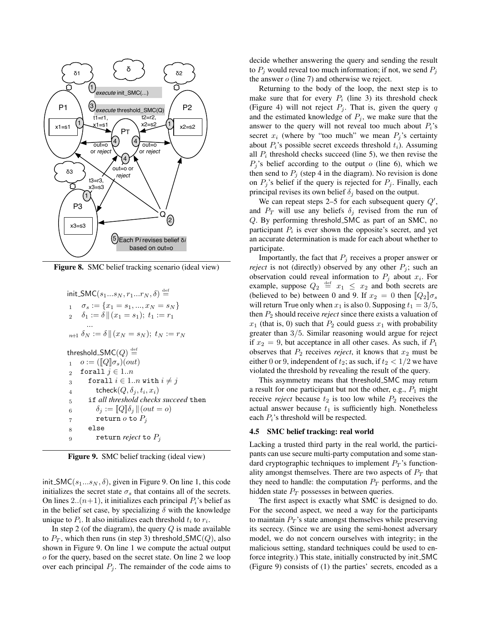

Figure 8. SMC belief tracking scenario (ideal view)

$$
\begin{aligned}\n\text{init\_SMC}(s_1...s_N, r_1...r_N, \delta) & \stackrel{\text{def}}{=} \\
1 & \sigma_s & := \{x_1 = s_1, ..., x_N = s_N\} \\
2 & \delta_1 & := \delta \|(x_1 = s_1); \ t_1 & := r_1 \\
\cdots \\
\text{min} & \sigma_s & := \delta \|(x_N = s_N); \ t_N & := r_N\n\end{aligned}
$$
\n
$$
\text{threshold\_SMC}(Q) \stackrel{\text{def}}{=} \\
1 & \sigma & := (\llbracket Q \rrbracket \sigma_s)(out) \\
2 & \text{forall } j \in 1..n \\
3 & \text{forall } i \in 1..n \text{ with } i \neq j \\
4 & \text{theck}(Q, \delta_j, t_i, x_i) \\
5 & \text{if all threshold checks succeed then} \\
6 & \delta_j & := \llbracket Q \rrbracket \delta_j \parallel (out = o) \\
7 & \text{return } o \text{ to } P_j \\
8 & \text{else}
$$
\n
$$
9 & \text{return reject to } P_j
$$

Figure 9. SMC belief tracking (ideal view)

init SMC( $s_1...s_N$ ,  $\delta$ ), given in Figure 9. On line 1, this code initializes the secret state  $\sigma_s$  that contains all of the secrets. On lines 2..( $n+1$ ), it initializes each principal  $P_i$ 's belief as in the belief set case, by specializing  $\delta$  with the knowledge unique to  $P_i$ . It also initializes each threshold  $t_i$  to  $r_i$ .

In step 2 (of the diagram), the query  $Q$  is made available to  $P_T$ , which then runs (in step 3) threshold SMC(Q), also shown in Figure 9. On line 1 we compute the actual output o for the query, based on the secret state. On line 2 we loop over each principal  $P_j$ . The remainder of the code aims to

decide whether answering the query and sending the result to  $P_i$  would reveal too much information; if not, we send  $P_i$ the answer o (line 7) and otherwise we reject.

Returning to the body of the loop, the next step is to make sure that for every  $P_i$  (line 3) its threshold check (Figure 4) will not reject  $P_i$ . That is, given the query q and the estimated knowledge of  $P_j$ , we make sure that the answer to the query will not reveal too much about  $P_i$ 's secret  $x_i$  (where by "too much" we mean  $P_i$ 's certainty about  $P_i$ 's possible secret exceeds threshold  $t_i$ ). Assuming all  $P_i$  threshold checks succeed (line 5), we then revise the  $P_j$ 's belief according to the output  $o$  (line 6), which we then send to  $P_i$  (step 4 in the diagram). No revision is done on  $P_j$ 's belief if the query is rejected for  $P_j$ . Finally, each principal revises its own belief  $\delta_i$  based on the output.

We can repeat steps 2–5 for each subsequent query  $Q'$ , and  $P_T$  will use any beliefs  $\delta_i$  revised from the run of Q. By performing threshold SMC as part of an SMC, no participant  $P_i$  is ever shown the opposite's secret, and yet an accurate determination is made for each about whether to participate.

Importantly, the fact that  $P_i$  receives a proper answer or *reject* is not (directly) observed by any other  $P_i$ ; such an observation could reveal information to  $P_j$  about  $x_i$ . For example, suppose  $Q_2 \stackrel{\text{def}}{=} x_1 \leq x_2$  and both secrets are (believed to be) between 0 and 9. If  $x_2 = 0$  then  $[Q_2]\sigma_s$ will return True only when  $x_1$  is also 0. Supposing  $t_1 = 3/5$ , then  $P_2$  should receive *reject* since there exists a valuation of  $x_1$  (that is, 0) such that  $P_2$  could guess  $x_1$  with probability greater than 3/5. Similar reasoning would argue for reject if  $x_2 = 9$ , but acceptance in all other cases. As such, if  $P_1$ observes that  $P_2$  receives *reject*, it knows that  $x_2$  must be either 0 or 9, independent of  $t_2$ ; as such, if  $t_2 < 1/2$  we have violated the threshold by revealing the result of the query.

This asymmetry means that threshold SMC may return a result for one participant but not the other, e.g.,  $P_1$  might receive *reject* because  $t_2$  is too low while  $P_2$  receives the actual answer because  $t_1$  is sufficiently high. Nonetheless each  $P_i$ 's threshold will be respected.

## 4.5 SMC belief tracking: real world

Lacking a trusted third party in the real world, the participants can use secure multi-party computation and some standard cryptographic techniques to implement  $P_T$ 's functionality amongst themselves. There are two aspects of  $P_T$  that they need to handle: the computation  $P_T$  performs, and the hidden state  $P_T$  possesses in between queries.

The first aspect is exactly what SMC is designed to do. For the second aspect, we need a way for the participants to maintain  $P_T$ 's state amongst themselves while preserving its secrecy. (Since we are using the semi-honest adversary model, we do not concern ourselves with integrity; in the malicious setting, standard techniques could be used to enforce integrity.) This state, initially constructed by init SMC (Figure 9) consists of (1) the parties' secrets, encoded as a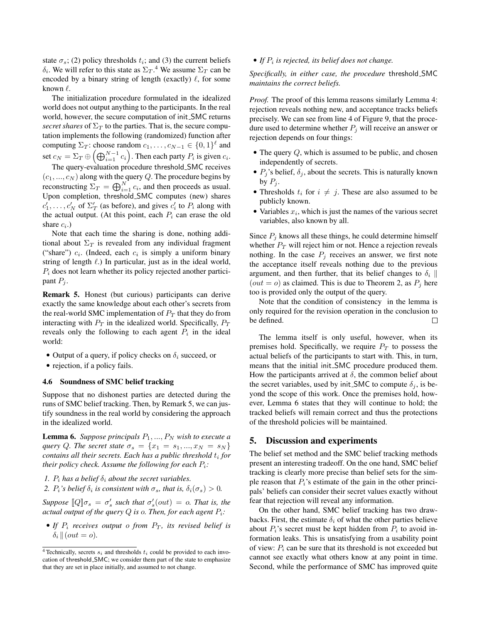state  $\sigma_s$ ; (2) policy thresholds  $t_i$ ; and (3) the current beliefs  $\delta_i$ . We will refer to this state as  $\Sigma_T$ .<sup>4</sup> We assume  $\Sigma_T$  can be encoded by a binary string of length (exactly)  $\ell$ , for some known  $\ell$ .

The initialization procedure formulated in the idealized world does not output anything to the participants. In the real world, however, the secure computation of init SMC returns *secret shares* of  $\Sigma_T$  to the parties. That is, the secure computation implements the following (randomized) function after computing  $\Sigma_T$ : choose random  $c_1, \ldots, c_{N-1} \in \{0,1\}^{\ell}$  and set  $c_N = \Sigma_T \oplus \left(\bigoplus_{i=1}^{N-1} c_i\right)$ . Then each party  $P_i$  is given  $c_i$ . The query-evaluation procedure threshold\_SMC receives  $(c_1, ..., c_N)$  along with the query Q. The procedure begins by reconstructing  $\Sigma_T = \bigoplus_{i=1}^N c_i$ , and then proceeds as usual. Upon completion, threshold SMC computes (new) shares

 $c'_1, \ldots, c'_N$  of  $\Sigma'_T$  (as before), and gives  $c'_i$  to  $P_i$  along with the actual output. (At this point, each  $P_i$  can erase the old share  $c_i$ .)

Note that each time the sharing is done, nothing additional about  $\Sigma_T$  is revealed from any individual fragment ("share")  $c_i$ . (Indeed, each  $c_i$  is simply a uniform binary string of length  $\ell$ .) In particular, just as in the ideal world,  $P_i$  does not learn whether its policy rejected another participant  $P_j$ .

Remark 5. Honest (but curious) participants can derive exactly the same knowledge about each other's secrets from the real-world SMC implementation of  $P_T$  that they do from interacting with  $P_T$  in the idealized world. Specifically,  $P_T$ reveals only the following to each agent  $P_i$  in the ideal world:

- Output of a query, if policy checks on  $\delta_i$  succeed, or
- rejection, if a policy fails.

## 4.6 Soundness of SMC belief tracking

Suppose that no dishonest parties are detected during the runs of SMC belief tracking. Then, by Remark 5, we can justify soundness in the real world by considering the approach in the idealized world.

**Lemma 6.** *Suppose principals*  $P_1, ..., P_N$  *wish to execute a query* Q. The secret state  $\sigma_s = \{x_1 = s_1, ..., x_N = s_N\}$ *contains all their secrets. Each has a public threshold* t<sup>i</sup> *for their policy check. Assume the following for each*  $P_i$ *:* 

- *1.*  $P_i$  has a belief  $\delta_i$  about the secret variables.
- 2.  $P_i$ 's belief  $\delta_i$  is consistent with  $\sigma_s$ , that is,  $\delta_i(\sigma_s) > 0$ .

*Suppose*  $\llbracket Q \rrbracket \sigma_s = \sigma'_s$  *such that*  $\sigma'_s(out) = o$ *. That is, the actual output of the query*  $Q$  *is o. Then, for each agent*  $P_i$ *:* 

• If  $P_i$  receives output o from  $P_T$ , its revised belief is  $\delta_i || (out = o).$ 

# $\bullet$  *If*  $P_i$  is rejected, its belief does not change.

*Specifically, in either case, the procedure* threshold SMC *maintains the correct beliefs.*

*Proof.* The proof of this lemma reasons similarly Lemma 4: rejection reveals nothing new, and acceptance tracks beliefs precisely. We can see from line 4 of Figure 9, that the procedure used to determine whether  $P_j$  will receive an answer or rejection depends on four things:

- The query  $Q$ , which is assumed to be public, and chosen independently of secrets.
- $P_i$ 's belief,  $\delta_i$ , about the secrets. This is naturally known by  $P_i$ .
- Thresholds  $t_i$  for  $i \neq j$ . These are also assumed to be publicly known.
- Variables  $x_i$ , which is just the names of the various secret variables, also known by all.

Since  $P_i$  knows all these things, he could determine himself whether  $P_T$  will reject him or not. Hence a rejection reveals nothing. In the case  $P_j$  receives an answer, we first note the acceptance itself reveals nothing due to the previous argument, and then further, that its belief changes to  $\delta_i$  $(out = o)$  as claimed. This is due to Theorem 2, as  $P_i$  here too is provided only the output of the query.

Note that the condition of consistency in the lemma is only required for the revision operation in the conclusion to be defined.  $\Box$ 

The lemma itself is only useful, however, when its premises hold. Specifically, we require  $P_T$  to possess the actual beliefs of the participants to start with. This, in turn, means that the initial init SMC procedure produced them. How the participants arrived at  $\delta$ , the common belief about the secret variables, used by init. SMC to compute  $\delta_i$ , is beyond the scope of this work. Once the premises hold, however, Lemma 6 states that they will continue to hold; the tracked beliefs will remain correct and thus the protections of the threshold policies will be maintained.

# 5. Discussion and experiments

The belief set method and the SMC belief tracking methods present an interesting tradeoff. On the one hand, SMC belief tracking is clearly more precise than belief sets for the simple reason that  $P_i$ 's estimate of the gain in the other principals' beliefs can consider their secret values exactly without fear that rejection will reveal any information.

On the other hand, SMC belief tracking has two drawbacks. First, the estimate  $\delta_i$  of what the other parties believe about  $P_i$ 's secret must be kept hidden from  $P_i$  to avoid information leaks. This is unsatisfying from a usability point of view:  $P_i$  can be sure that its threshold is not exceeded but cannot see exactly what others know at any point in time. Second, while the performance of SMC has improved quite

<sup>&</sup>lt;sup>4</sup> Technically, secrets  $s_i$  and thresholds  $t_i$  could be provided to each invocation of threshold SMC; we consider them part of the state to emphasize that they are set in place initially, and assumed to not change.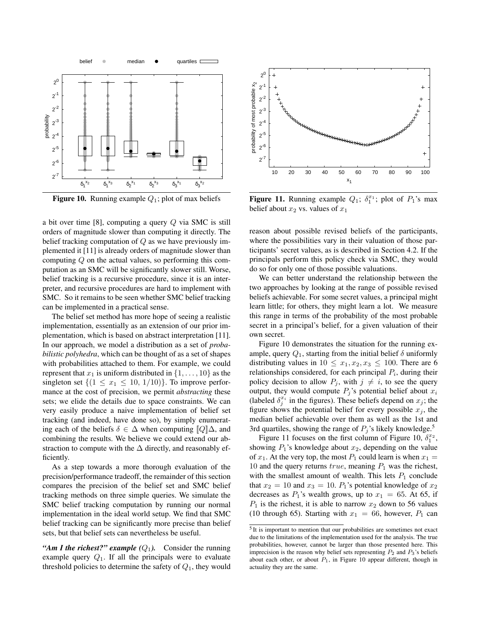

**Figure 10.** Running example  $Q_1$ ; plot of max beliefs

a bit over time [8], computing a query Q via SMC is still orders of magnitude slower than computing it directly. The belief tracking computation of  $Q$  as we have previously implemented it [11] is already orders of magnitude slower than computing Q on the actual values, so performing this computation as an SMC will be significantly slower still. Worse, belief tracking is a recursive procedure, since it is an interpreter, and recursive procedures are hard to implement with SMC. So it remains to be seen whether SMC belief tracking can be implemented in a practical sense.

The belief set method has more hope of seeing a realistic implementation, essentially as an extension of our prior implementation, which is based on abstract interpretation [11]. In our approach, we model a distribution as a set of *probabilistic polyhedra*, which can be thought of as a set of shapes with probabilities attached to them. For example, we could represent that  $x_1$  is uniform distributed in  $\{1, \ldots, 10\}$  as the singleton set  $\{(1 \le x_1 \le 10, 1/10)\}\)$ . To improve performance at the cost of precision, we permit *abstracting* these sets; we elide the details due to space constraints. We can very easily produce a naive implementation of belief set tracking (and indeed, have done so), by simply enumerating each of the beliefs  $\delta \in \Delta$  when computing  $\llbracket Q \rrbracket \Delta$ , and combining the results. We believe we could extend our abstraction to compute with the  $\Delta$  directly, and reasonably efficiently.

As a step towards a more thorough evaluation of the precision/performance tradeoff, the remainder of this section compares the precision of the belief set and SMC belief tracking methods on three simple queries. We simulate the SMC belief tracking computation by running our normal implementation in the ideal world setup. We find that SMC belief tracking can be significantly more precise than belief sets, but that belief sets can nevertheless be useful.

*"Am I the richest?" example*  $(Q_1)$ . Consider the running example query  $Q_1$ . If all the principals were to evaluate threshold policies to determine the safety of  $Q_1$ , they would



**Figure 11.** Running example  $Q_1$ ;  $\delta_1^{x_1}$ ; plot of  $P_1$ 's max belief about  $x_2$  vs. values of  $x_1$ 

reason about possible revised beliefs of the participants, where the possibilities vary in their valuation of those participants' secret values, as is described in Section 4.2. If the principals perform this policy check via SMC, they would do so for only one of those possible valuations.

We can better understand the relationship between the two approaches by looking at the range of possible revised beliefs achievable. For some secret values, a principal might learn little; for others, they might learn a lot. We measure this range in terms of the probability of the most probable secret in a principal's belief, for a given valuation of their own secret.

Figure 10 demonstrates the situation for the running example, query  $Q_1$ , starting from the initial belief  $\delta$  uniformly distributing values in  $10 \le x_1, x_2, x_3 \le 100$ . There are 6 relationships considered, for each principal  $P_i$ , during their policy decision to allow  $P_j$ , with  $j \neq i$ , to see the query output, they would compute  $P_i$ 's potential belief about  $x_i$ (labeled  $\delta_j^{x_i}$  in the figures). These beliefs depend on  $x_j$ ; the figure shows the potential belief for every possible  $x_j$ , the median belief achievable over them as well as the 1st and 3rd quartiles, showing the range of  $P_i$ 's likely knowledge.<sup>5</sup>

Figure 11 focuses on the first column of Figure 10,  $\delta_1^{x_2}$ , showing  $P_1$ 's knowledge about  $x_2$ , depending on the value of  $x_1$ . At the very top, the most  $P_1$  could learn is when  $x_1 =$ 10 and the query returns  $true$ , meaning  $P_1$  was the richest, with the smallest amount of wealth. This lets  $P_1$  conclude that  $x_2 = 10$  and  $x_3 = 10$ .  $P_1$ 's potential knowledge of  $x_2$ decreases as  $P_1$ 's wealth grows, up to  $x_1 = 65$ . At 65, if  $P_1$  is the richest, it is able to narrow  $x_2$  down to 56 values (10 through 65). Starting with  $x_1 = 66$ , however,  $P_1$  can

<sup>&</sup>lt;sup>5</sup> It is important to mention that our probabilities are sometimes not exact due to the limitations of the implementation used for the analysis. The true probabilities, however, cannot be larger than those presented here. This imprecision is the reason why belief sets representing  $P_2$  and  $P_3$ 's beliefs about each other, or about  $P_1$ , in Figure 10 appear different, though in actuality they are the same.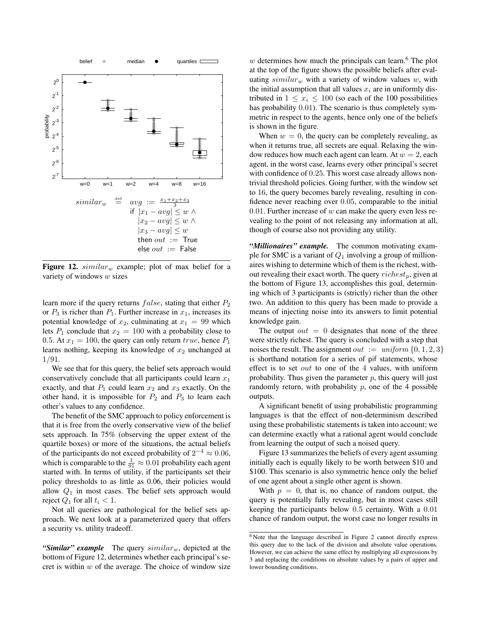

Figure 12.  $similar_w$  example; plot of max belief for a variety of windows w sizes

learn more if the query returns  $false$ , stating that either  $P_2$ or  $P_3$  is richer than  $P_1$ . Further increase in  $x_1$ , increases its potential knowledge of  $x_2$ , culminating at  $x_1 = 99$  which lets  $P_1$  conclude that  $x_2 = 100$  with a probability close to 0.5. At  $x_1 = 100$ , the query can only return true, hence  $P_1$ learns nothing, keeping its knowledge of  $x_2$  unchanged at 1/91.

We see that for this query, the belief sets approach would conservatively conclude that all participants could learn  $x_1$ exactly, and that  $P_1$  could learn  $x_2$  and  $x_3$  exactly. On the other hand, it is impossible for  $P_2$  and  $P_3$  to learn each other's values to any confidence.

The benefit of the SMC approach to policy enforcement is that it is free from the overly conservative view of the belief sets approach. In 75% (observing the upper extent of the quartile boxes) or more of the situations, the actual beliefs of the participants do not exceed probability of  $2^{-4} \approx 0.06$ , which is comparable to the  $\frac{1}{91} \approx 0.01$  probability each agent started with. In terms of utility, if the participants set their policy thresholds to as little as 0.06, their policies would allow  $Q_1$  in most cases. The belief sets approach would reject  $Q_1$  for all  $t_i < 1$ .

Not all queries are pathological for the belief sets approach. We next look at a parameterized query that offers a security vs. utility tradeoff.

"*Similar" example* The query  $\text{similar}_w$ , depicted at the bottom of Figure 12, determines whether each principal's secret is within  $w$  of the average. The choice of window size

 $w$  determines how much the principals can learn.<sup>6</sup> The plot at the top of the figure shows the possible beliefs after evaluating  $similar_w$  with a variety of window values w, with the initial assumption that all values  $x_i$  are in uniformly distributed in  $1 \leq x_i \leq 100$  (so each of the 100 possibilities has probability 0.01). The scenario is thus completely symmetric in respect to the agents, hence only one of the beliefs is shown in the figure.

When  $w = 0$ , the query can be completely revealing, as when it returns true, all secrets are equal. Relaxing the window reduces how much each agent can learn. At  $w = 2$ , each agent, in the worst case, learns every other principal's secret with confidence of 0.25. This worst case already allows nontrivial threshold policies. Going further, with the window set to 16, the query becomes barely revealing, resulting in confidence never reaching over 0.05, comparable to the initial 0.01. Further increase of  $w$  can make the query even less revealing to the point of not releasing any information at all, though of course also not providing any utility.

*"Millionaires" example.* The common motivating example for SMC is a variant of  $Q_1$  involving a group of millionaires wishing to determine which of them is the richest, without revealing their exact worth. The query  $richest_p$ , given at the bottom of Figure 13, accomplishes this goal, determining which of 3 participants is (strictly) richer than the other two. An addition to this query has been made to provide a means of injecting noise into its answers to limit potential knowledge gain.

The output  $out = 0$  designates that none of the three were strictly richest. The query is concluded with a step that noises the result. The assignment out  $:=$  uniform  $\{0, 1, 2, 3\}$ is shorthand notation for a series of pif statements, whose effect is to set out to one of the 4 values, with uniform probability. Thus given the parameter  $p$ , this query will just randomly return, with probability  $p$ , one of the 4 possible outputs.

A significant benefit of using probabilistic programming languages is that the effect of non-determinism described using these probabilistic statements is taken into account; we can determine exactly what a rational agent would conclude from learning the output of such a noised query.

Figure 13 summarizes the beliefs of every agent assuming initially each is equally likely to be worth between \$10 and \$100. This scenario is also symmetric hence only the belief of one agent about a single other agent is shown.

With  $p = 0$ , that is, no chance of random output, the query is potentially fully revealing, but in most cases still keeping the participants below 0.5 certainty. With a 0.01 chance of random output, the worst case no longer results in

 $\overline{6}$  Note that the language described in Figure 2 cannot directly express this query due to the lack of the division and absolute value operations. However, we can achieve the same effect by multiplying all expressions by 3 and replacing the conditions on absolute values by a pairs of upper and lower bounding conditions.